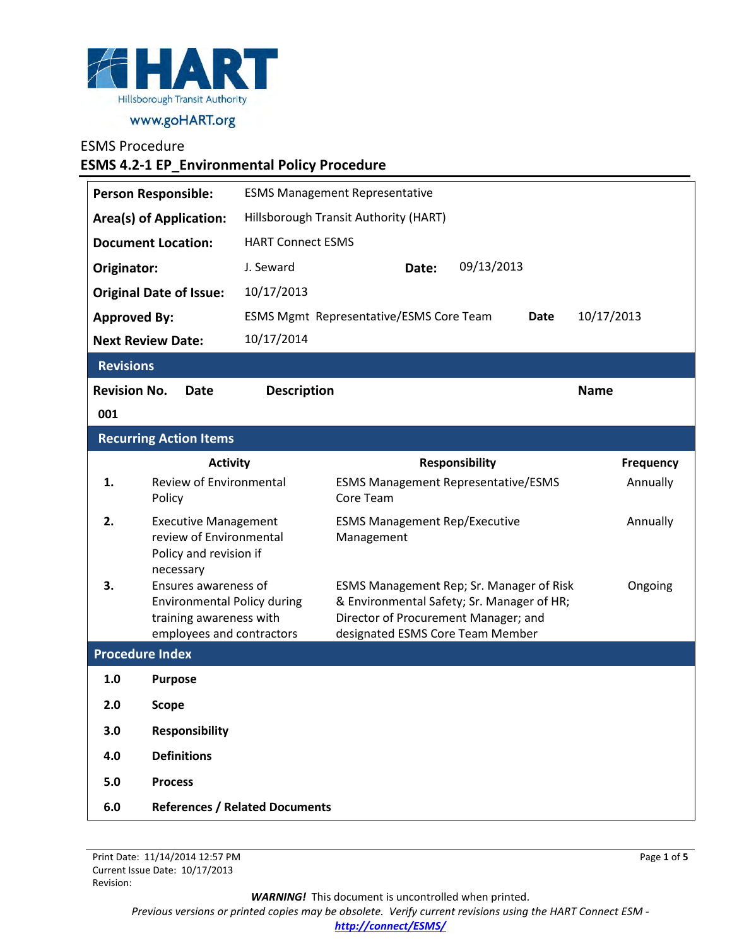

www.goHART.org

# ESMS Procedure

## **ESMS 4.2-1 EP\_Environmental Policy Procedure**

|                          | <b>Person Responsible:</b>                                                                                         |                                                               | <b>ESMS Management Representative</b>                                                                                                                              |          |             |  |
|--------------------------|--------------------------------------------------------------------------------------------------------------------|---------------------------------------------------------------|--------------------------------------------------------------------------------------------------------------------------------------------------------------------|----------|-------------|--|
|                          | Area(s) of Application:                                                                                            |                                                               | Hillsborough Transit Authority (HART)                                                                                                                              |          |             |  |
|                          | <b>Document Location:</b>                                                                                          | <b>HART Connect ESMS</b>                                      |                                                                                                                                                                    |          |             |  |
| Originator:              |                                                                                                                    | J. Seward                                                     | 09/13/2013<br>Date:                                                                                                                                                |          |             |  |
|                          | <b>Original Date of Issue:</b>                                                                                     | 10/17/2013                                                    |                                                                                                                                                                    |          |             |  |
| <b>Approved By:</b>      |                                                                                                                    | <b>ESMS Mgmt Representative/ESMS Core Team</b><br><b>Date</b> |                                                                                                                                                                    |          | 10/17/2013  |  |
| <b>Next Review Date:</b> |                                                                                                                    | 10/17/2014                                                    |                                                                                                                                                                    |          |             |  |
| <b>Revisions</b>         |                                                                                                                    |                                                               |                                                                                                                                                                    |          |             |  |
| <b>Revision No.</b>      | <b>Date</b>                                                                                                        | <b>Description</b>                                            |                                                                                                                                                                    |          | <b>Name</b> |  |
| 001                      |                                                                                                                    |                                                               |                                                                                                                                                                    |          |             |  |
|                          | <b>Recurring Action Items</b>                                                                                      |                                                               |                                                                                                                                                                    |          |             |  |
|                          | <b>Activity</b>                                                                                                    |                                                               | <b>Responsibility</b>                                                                                                                                              |          | Frequency   |  |
| 1.                       | Review of Environmental<br>Policy                                                                                  | <b>ESMS Management Representative/ESMS</b><br>Core Team       |                                                                                                                                                                    | Annually |             |  |
| 2.                       | <b>Executive Management</b><br>review of Environmental<br>Policy and revision if<br>necessary                      |                                                               | <b>ESMS Management Rep/Executive</b><br>Management                                                                                                                 |          | Annually    |  |
| 3.                       | Ensures awareness of<br><b>Environmental Policy during</b><br>training awareness with<br>employees and contractors |                                                               | ESMS Management Rep; Sr. Manager of Risk<br>& Environmental Safety; Sr. Manager of HR;<br>Director of Procurement Manager; and<br>designated ESMS Core Team Member |          | Ongoing     |  |
| <b>Procedure Index</b>   |                                                                                                                    |                                                               |                                                                                                                                                                    |          |             |  |
| 1.0                      | <b>Purpose</b>                                                                                                     |                                                               |                                                                                                                                                                    |          |             |  |
| 2.0                      | <b>Scope</b>                                                                                                       |                                                               |                                                                                                                                                                    |          |             |  |
| 3.0                      | <b>Responsibility</b>                                                                                              |                                                               |                                                                                                                                                                    |          |             |  |
| 4.0                      | <b>Definitions</b>                                                                                                 |                                                               |                                                                                                                                                                    |          |             |  |
| 5.0                      | <b>Process</b>                                                                                                     |                                                               |                                                                                                                                                                    |          |             |  |
| 6.0                      |                                                                                                                    | <b>References / Related Documents</b>                         |                                                                                                                                                                    |          |             |  |

*WARNING!*This document is uncontrolled when printed.

*Previous versions or printed copies may be obsolete. Verify current revisions using the HART Connect ESM -*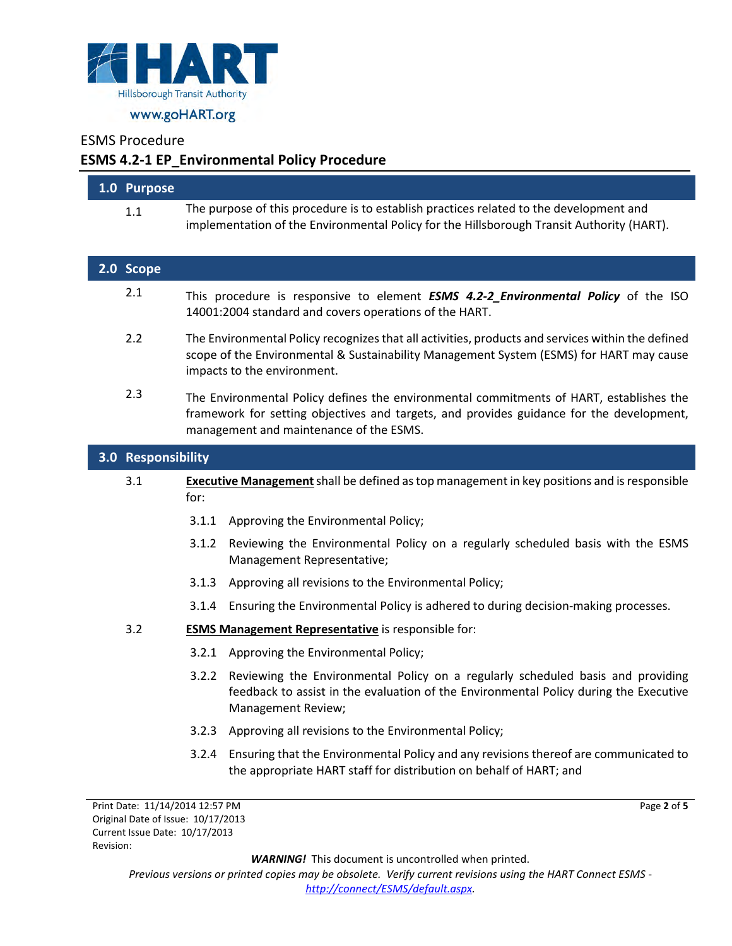

# **ESMS 4.2-1 EP\_Environmental Policy Procedure**

<span id="page-1-0"></span>

|                                                                      | 1.0 Purpose                                                      |                                                                                                                                                                                                                                |  |  |  |
|----------------------------------------------------------------------|------------------------------------------------------------------|--------------------------------------------------------------------------------------------------------------------------------------------------------------------------------------------------------------------------------|--|--|--|
|                                                                      | 1.1                                                              | The purpose of this procedure is to establish practices related to the development and<br>implementation of the Environmental Policy for the Hillsborough Transit Authority (HART).                                            |  |  |  |
|                                                                      | 2.0 Scope                                                        |                                                                                                                                                                                                                                |  |  |  |
|                                                                      | 2.1                                                              | This procedure is responsive to element <b>ESMS 4.2-2_Environmental Policy</b> of the ISO<br>14001:2004 standard and covers operations of the HART.                                                                            |  |  |  |
|                                                                      | 2.2                                                              | The Environmental Policy recognizes that all activities, products and services within the defined<br>scope of the Environmental & Sustainability Management System (ESMS) for HART may cause<br>impacts to the environment.    |  |  |  |
|                                                                      | 2.3                                                              | The Environmental Policy defines the environmental commitments of HART, establishes the<br>framework for setting objectives and targets, and provides guidance for the development,<br>management and maintenance of the ESMS. |  |  |  |
|                                                                      | 3.0 Responsibility                                               |                                                                                                                                                                                                                                |  |  |  |
|                                                                      | 3.1                                                              | <b>Executive Management</b> shall be defined as top management in key positions and is responsible<br>for:                                                                                                                     |  |  |  |
|                                                                      |                                                                  | Approving the Environmental Policy;<br>3.1.1                                                                                                                                                                                   |  |  |  |
|                                                                      |                                                                  | 3.1.2<br>Reviewing the Environmental Policy on a regularly scheduled basis with the ESMS<br>Management Representative;                                                                                                         |  |  |  |
|                                                                      |                                                                  | Approving all revisions to the Environmental Policy;<br>3.1.3                                                                                                                                                                  |  |  |  |
|                                                                      |                                                                  | Ensuring the Environmental Policy is adhered to during decision-making processes.<br>3.1.4                                                                                                                                     |  |  |  |
|                                                                      | 3.2<br><b>ESMS Management Representative</b> is responsible for: |                                                                                                                                                                                                                                |  |  |  |
|                                                                      |                                                                  | Approving the Environmental Policy;<br>3.2.1                                                                                                                                                                                   |  |  |  |
|                                                                      |                                                                  | 3.2.2<br>Reviewing the Environmental Policy on a regularly scheduled basis and providing<br>feedback to assist in the evaluation of the Environmental Policy during the Executive<br>Management Review;                        |  |  |  |
|                                                                      |                                                                  | Approving all revisions to the Environmental Policy;<br>3.2.3                                                                                                                                                                  |  |  |  |
|                                                                      |                                                                  | 3.2.4<br>Ensuring that the Environmental Policy and any revisions thereof are communicated to<br>the appropriate HART staff for distribution on behalf of HART; and                                                            |  |  |  |
|                                                                      |                                                                  | Print Date: 11/14/2014 12:57 PM<br>Page 2 of 5                                                                                                                                                                                 |  |  |  |
| Original Date of Issue: 10/17/2013<br>Current Issue Date: 10/17/2013 |                                                                  |                                                                                                                                                                                                                                |  |  |  |

Current Issue Date: 10/17/2013 Revision:

*WARNING!*This document is uncontrolled when printed.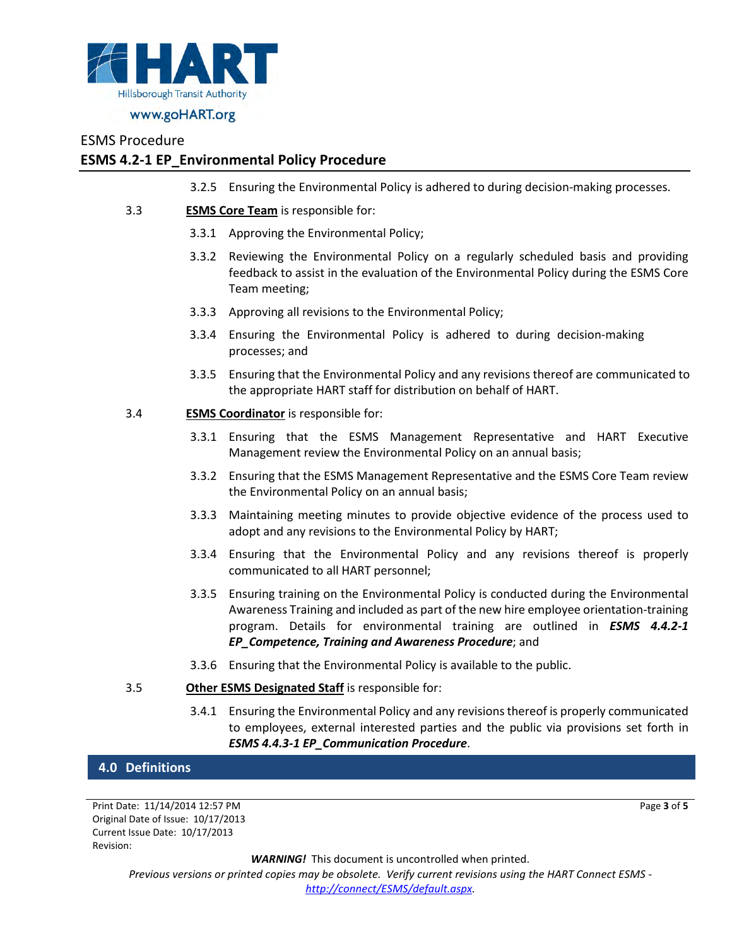

## **ESMS 4.2-1 EP\_Environmental Policy Procedure**

- 3.2.5 Ensuring the Environmental Policy is adhered to during decision-making processes.
- 3.3 **ESMS Core Team** is responsible for:
	- 3.3.1 Approving the Environmental Policy;
	- 3.3.2 Reviewing the Environmental Policy on a regularly scheduled basis and providing feedback to assist in the evaluation of the Environmental Policy during the ESMS Core Team meeting;
	- 3.3.3 Approving all revisions to the Environmental Policy;
	- 3.3.4 Ensuring the Environmental Policy is adhered to during decision-making processes; and
	- 3.3.5 Ensuring that the Environmental Policy and any revisions thereof are communicated to the appropriate HART staff for distribution on behalf of HART.
- 3.4 **ESMS Coordinator** is responsible for:
	- 3.3.1 Ensuring that the ESMS Management Representative and HART Executive Management review the Environmental Policy on an annual basis;
	- 3.3.2 Ensuring that the ESMS Management Representative and the ESMS Core Team review the Environmental Policy on an annual basis;
	- 3.3.3 Maintaining meeting minutes to provide objective evidence of the process used to adopt and any revisions to the Environmental Policy by HART;
	- 3.3.4 Ensuring that the Environmental Policy and any revisions thereof is properly communicated to all HART personnel;
	- 3.3.5 Ensuring training on the Environmental Policy is conducted during the Environmental Awareness Training and included as part of the new hire employee orientation-training program. Details for environmental training are outlined in *ESMS 4.4.2-1 EP\_Competence, Training and Awareness Procedure*; and
	- 3.3.6 Ensuring that the Environmental Policy is available to the public.
- 3.5 **Other ESMS Designated Staff** is responsible for:
	- 3.4.1 Ensuring the Environmental Policy and any revisions thereof is properly communicated to employees, external interested parties and the public via provisions set forth in *ESMS 4.4.3-1 EP\_Communication Procedure*.

### <span id="page-2-0"></span>**4.0 Definitions**

Print Date: 11/14/2014 12:57 PM Original Date of Issue: 10/17/2013 Current Issue Date: 10/17/2013 Revision:

Page **3** of **5**

*WARNING!*This document is uncontrolled when printed.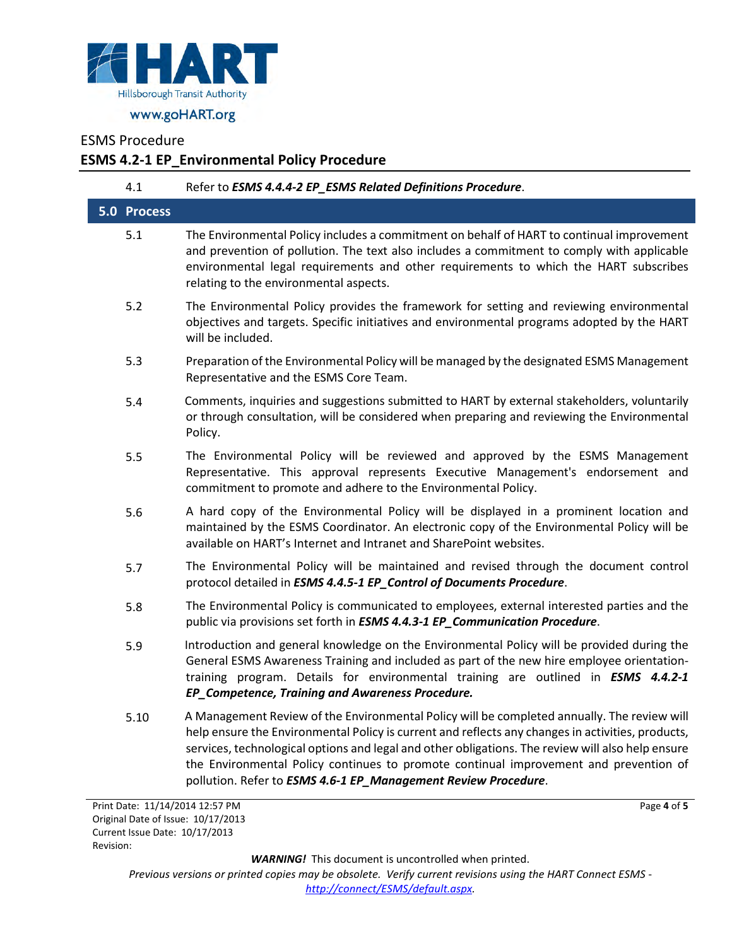

# **ESMS 4.2-1 EP\_Environmental Policy Procedure**

<span id="page-3-0"></span>

| 4.1                                            | Refer to ESMS 4.4.4-2 EP_ESMS Related Definitions Procedure.                                                                                                                                                                                                                                                                                                                                                                                                     |  |  |
|------------------------------------------------|------------------------------------------------------------------------------------------------------------------------------------------------------------------------------------------------------------------------------------------------------------------------------------------------------------------------------------------------------------------------------------------------------------------------------------------------------------------|--|--|
| 5.0 Process                                    |                                                                                                                                                                                                                                                                                                                                                                                                                                                                  |  |  |
| 5.1                                            | The Environmental Policy includes a commitment on behalf of HART to continual improvement<br>and prevention of pollution. The text also includes a commitment to comply with applicable<br>environmental legal requirements and other requirements to which the HART subscribes<br>relating to the environmental aspects.                                                                                                                                        |  |  |
| 5.2                                            | The Environmental Policy provides the framework for setting and reviewing environmental<br>objectives and targets. Specific initiatives and environmental programs adopted by the HART<br>will be included.                                                                                                                                                                                                                                                      |  |  |
| 5.3                                            | Preparation of the Environmental Policy will be managed by the designated ESMS Management<br>Representative and the ESMS Core Team.                                                                                                                                                                                                                                                                                                                              |  |  |
| 5.4                                            | Comments, inquiries and suggestions submitted to HART by external stakeholders, voluntarily<br>or through consultation, will be considered when preparing and reviewing the Environmental<br>Policy.                                                                                                                                                                                                                                                             |  |  |
| 5.5                                            | The Environmental Policy will be reviewed and approved by the ESMS Management<br>Representative. This approval represents Executive Management's endorsement and<br>commitment to promote and adhere to the Environmental Policy.                                                                                                                                                                                                                                |  |  |
| 5.6                                            | A hard copy of the Environmental Policy will be displayed in a prominent location and<br>maintained by the ESMS Coordinator. An electronic copy of the Environmental Policy will be<br>available on HART's Internet and Intranet and SharePoint websites.                                                                                                                                                                                                        |  |  |
| 5.7                                            | The Environmental Policy will be maintained and revised through the document control<br>protocol detailed in ESMS 4.4.5-1 EP_Control of Documents Procedure.                                                                                                                                                                                                                                                                                                     |  |  |
| 5.8                                            | The Environmental Policy is communicated to employees, external interested parties and the<br>public via provisions set forth in ESMS 4.4.3-1 EP_Communication Procedure.                                                                                                                                                                                                                                                                                        |  |  |
| 5.9                                            | Introduction and general knowledge on the Environmental Policy will be provided during the<br>General ESMS Awareness Training and included as part of the new hire employee orientation-<br>training program. Details for environmental training are outlined in ESMS 4.4.2-1<br>EP_Competence, Training and Awareness Procedure.                                                                                                                                |  |  |
| 5.10                                           | A Management Review of the Environmental Policy will be completed annually. The review will<br>help ensure the Environmental Policy is current and reflects any changes in activities, products,<br>services, technological options and legal and other obligations. The review will also help ensure<br>the Environmental Policy continues to promote continual improvement and prevention of<br>pollution. Refer to ESMS 4.6-1 EP_Management Review Procedure. |  |  |
| Print Date: 11/14/2014 12:57 PM<br>Page 4 of 5 |                                                                                                                                                                                                                                                                                                                                                                                                                                                                  |  |  |

Original Date of Issue: 10/17/2013 Current Issue Date: 10/17/2013 Revision:

*WARNING!*This document is uncontrolled when printed.